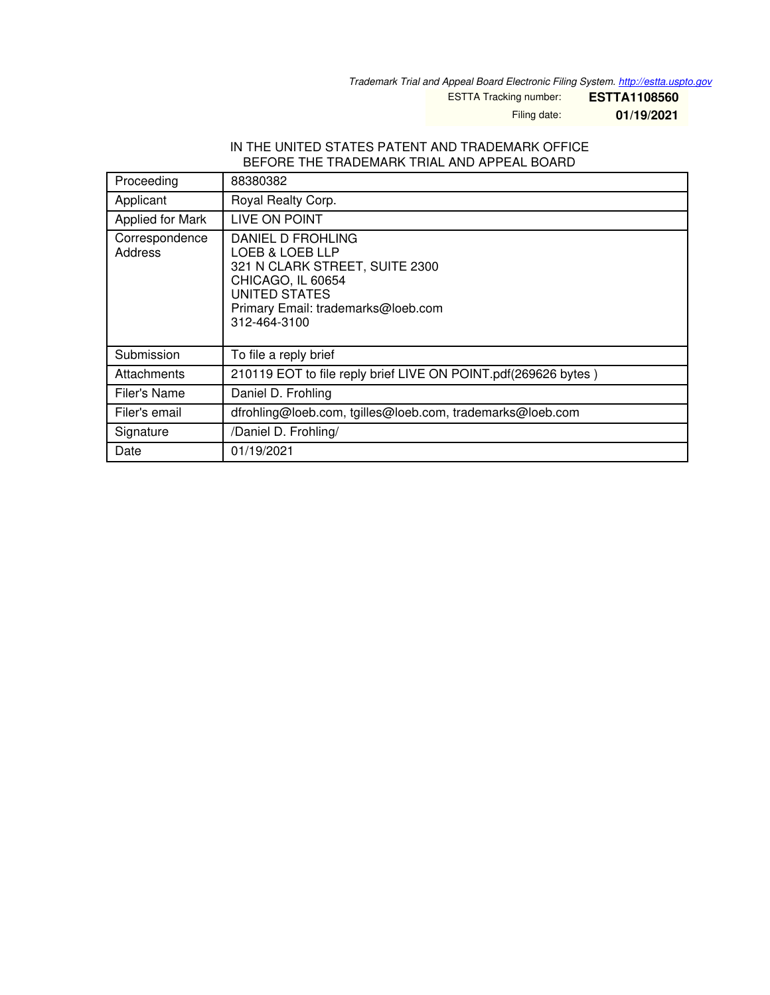*Trademark Trial and Appeal Board Electronic Filing System. <http://estta.uspto.gov>*

ESTTA Tracking number: **ESTTA1108560**

Filing date: **01/19/2021**

#### IN THE UNITED STATES PATENT AND TRADEMARK OFFICE BEFORE THE TRADEMARK TRIAL AND APPEAL BOARD

| Proceeding                | 88380382                                                                                                                                                           |
|---------------------------|--------------------------------------------------------------------------------------------------------------------------------------------------------------------|
| Applicant                 | Royal Realty Corp.                                                                                                                                                 |
| Applied for Mark          | LIVE ON POINT                                                                                                                                                      |
| Correspondence<br>Address | DANIEL D FROHLING<br>LOEB & LOEB LLP<br>321 N CLARK STREET, SUITE 2300<br>CHICAGO, IL 60654<br>UNITED STATES<br>Primary Email: trademarks@loeb.com<br>312-464-3100 |
| Submission                | To file a reply brief                                                                                                                                              |
| Attachments               | 210119 EOT to file reply brief LIVE ON POINT.pdf(269626 bytes)                                                                                                     |
| Filer's Name              | Daniel D. Frohling                                                                                                                                                 |
| Filer's email             | dfrohling@loeb.com, tgilles@loeb.com, trademarks@loeb.com                                                                                                          |
| Signature                 | /Daniel D. Frohling/                                                                                                                                               |
| Date                      | 01/19/2021                                                                                                                                                         |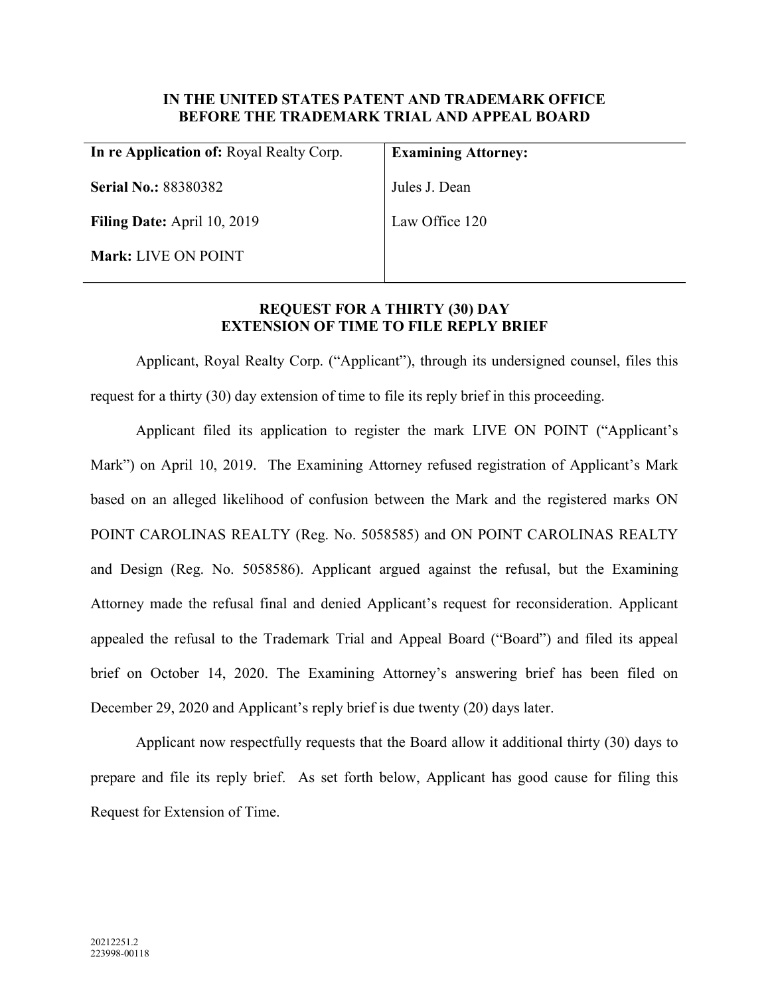# IN THE UNITED STATES PATENT AND TRADEMARK OFFICE BEFORE THE TRADEMARK TRIAL AND APPEAL BOARD

| In re Application of: Royal Realty Corp. | <b>Examining Attorney:</b> |
|------------------------------------------|----------------------------|
| <b>Serial No.: 88380382</b>              | Jules J. Dean              |
| <b>Filing Date:</b> April 10, 2019       | Law Office 120             |
| <b>Mark: LIVE ON POINT</b>               |                            |
|                                          |                            |

# REQUEST FOR A THIRTY (30) DAY EXTENSION OF TIME TO FILE REPLY BRIEF

Applicant, Royal Realty Corp. ("Applicant"), through its undersigned counsel, files this request for a thirty (30) day extension of time to file its reply brief in this proceeding.

Applicant filed its application to register the mark LIVE ON POINT ("Applicant's Mark") on April 10, 2019. The Examining Attorney refused registration of Applicant's Mark based on an alleged likelihood of confusion between the Mark and the registered marks ON POINT CAROLINAS REALTY (Reg. No. 5058585) and ON POINT CAROLINAS REALTY and Design (Reg. No. 5058586). Applicant argued against the refusal, but the Examining Attorney made the refusal final and denied Applicant's request for reconsideration. Applicant appealed the refusal to the Trademark Trial and Appeal Board ("Board") and filed its appeal brief on October 14, 2020. The Examining Attorney's answering brief has been filed on December 29, 2020 and Applicant's reply brief is due twenty (20) days later.

Applicant now respectfully requests that the Board allow it additional thirty (30) days to prepare and file its reply brief. As set forth below, Applicant has good cause for filing this Request for Extension of Time.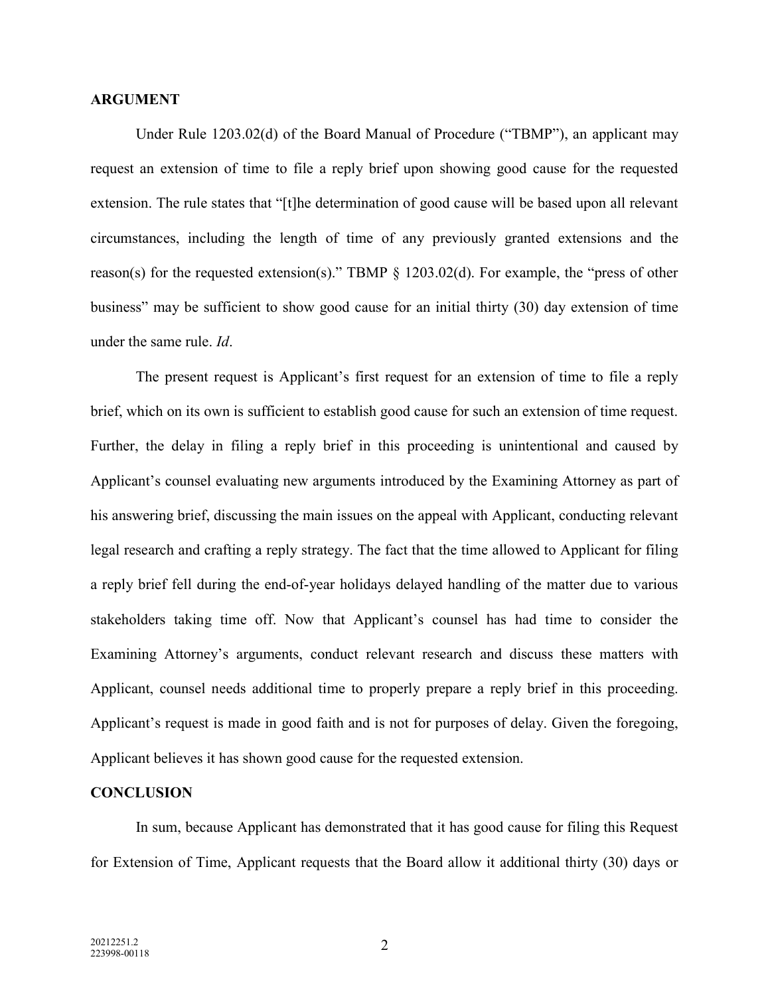### ARGUMENT

Under Rule 1203.02(d) of the Board Manual of Procedure ("TBMP"), an applicant may request an extension of time to file a reply brief upon showing good cause for the requested extension. The rule states that "[t]he determination of good cause will be based upon all relevant circumstances, including the length of time of any previously granted extensions and the reason(s) for the requested extension(s)." TBMP § 1203.02(d). For example, the "press of other business" may be sufficient to show good cause for an initial thirty (30) day extension of time under the same rule. Id.

The present request is Applicant's first request for an extension of time to file a reply brief, which on its own is sufficient to establish good cause for such an extension of time request. Further, the delay in filing a reply brief in this proceeding is unintentional and caused by Applicant's counsel evaluating new arguments introduced by the Examining Attorney as part of his answering brief, discussing the main issues on the appeal with Applicant, conducting relevant legal research and crafting a reply strategy. The fact that the time allowed to Applicant for filing a reply brief fell during the end-of-year holidays delayed handling of the matter due to various stakeholders taking time off. Now that Applicant's counsel has had time to consider the Examining Attorney's arguments, conduct relevant research and discuss these matters with Applicant, counsel needs additional time to properly prepare a reply brief in this proceeding. Applicant's request is made in good faith and is not for purposes of delay. Given the foregoing, Applicant believes it has shown good cause for the requested extension.

#### **CONCLUSION**

In sum, because Applicant has demonstrated that it has good cause for filing this Request for Extension of Time, Applicant requests that the Board allow it additional thirty (30) days or